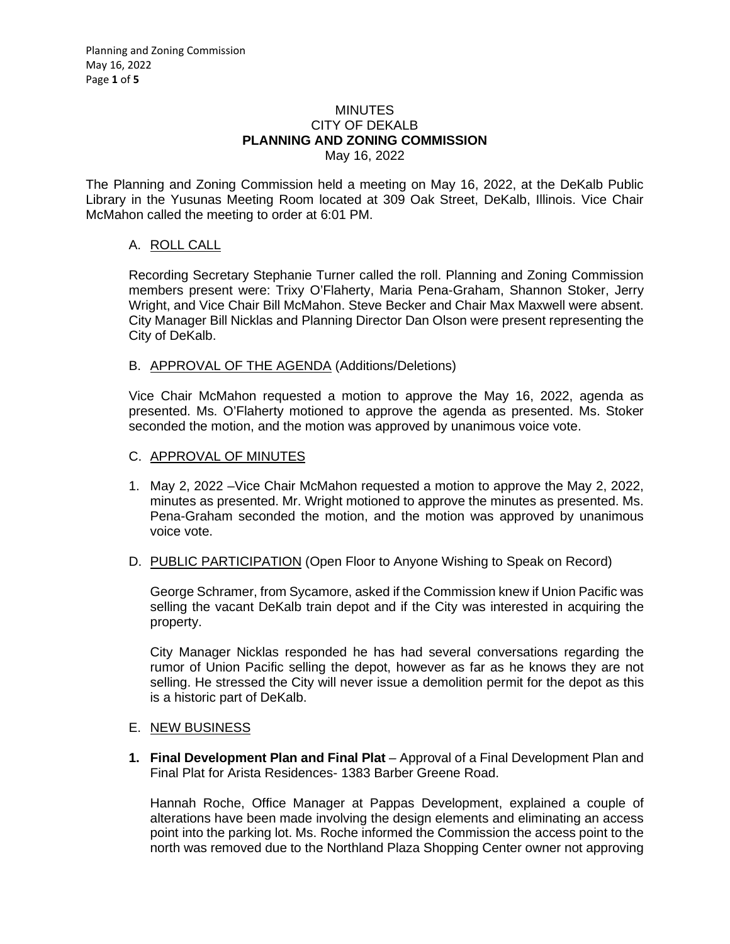#### **MINUTES** CITY OF DEKALB **PLANNING AND ZONING COMMISSION** May 16, 2022

The Planning and Zoning Commission held a meeting on May 16, 2022, at the DeKalb Public Library in the Yusunas Meeting Room located at 309 Oak Street, DeKalb, Illinois. Vice Chair McMahon called the meeting to order at 6:01 PM.

# A. ROLL CALL

Recording Secretary Stephanie Turner called the roll. Planning and Zoning Commission members present were: Trixy O'Flaherty, Maria Pena-Graham, Shannon Stoker, Jerry Wright, and Vice Chair Bill McMahon. Steve Becker and Chair Max Maxwell were absent. City Manager Bill Nicklas and Planning Director Dan Olson were present representing the City of DeKalb.

#### B. APPROVAL OF THE AGENDA (Additions/Deletions)

Vice Chair McMahon requested a motion to approve the May 16, 2022, agenda as presented. Ms. O'Flaherty motioned to approve the agenda as presented. Ms. Stoker seconded the motion, and the motion was approved by unanimous voice vote.

### C. APPROVAL OF MINUTES

- 1. May 2, 2022 –Vice Chair McMahon requested a motion to approve the May 2, 2022, minutes as presented. Mr. Wright motioned to approve the minutes as presented. Ms. Pena-Graham seconded the motion, and the motion was approved by unanimous voice vote.
- D. PUBLIC PARTICIPATION (Open Floor to Anyone Wishing to Speak on Record)

George Schramer, from Sycamore, asked if the Commission knew if Union Pacific was selling the vacant DeKalb train depot and if the City was interested in acquiring the property.

City Manager Nicklas responded he has had several conversations regarding the rumor of Union Pacific selling the depot, however as far as he knows they are not selling. He stressed the City will never issue a demolition permit for the depot as this is a historic part of DeKalb.

#### E. NEW BUSINESS

**1. Final Development Plan and Final Plat** – Approval of a Final Development Plan and Final Plat for Arista Residences- 1383 Barber Greene Road.

Hannah Roche, Office Manager at Pappas Development, explained a couple of alterations have been made involving the design elements and eliminating an access point into the parking lot. Ms. Roche informed the Commission the access point to the north was removed due to the Northland Plaza Shopping Center owner not approving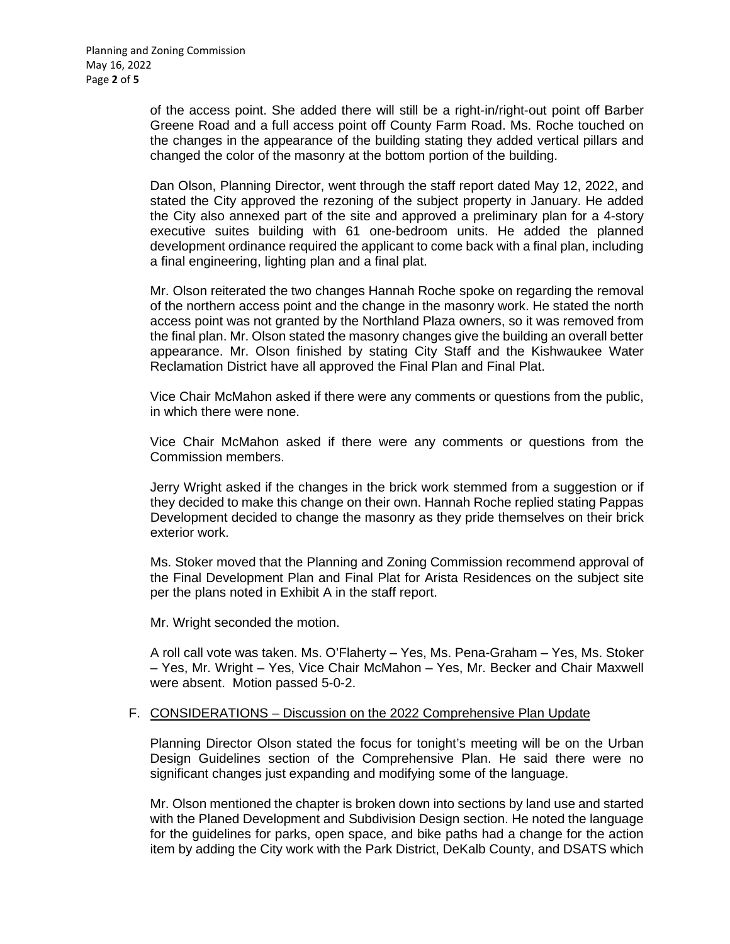of the access point. She added there will still be a right-in/right-out point off Barber Greene Road and a full access point off County Farm Road. Ms. Roche touched on the changes in the appearance of the building stating they added vertical pillars and changed the color of the masonry at the bottom portion of the building.

Dan Olson, Planning Director, went through the staff report dated May 12, 2022, and stated the City approved the rezoning of the subject property in January. He added the City also annexed part of the site and approved a preliminary plan for a 4-story executive suites building with 61 one-bedroom units. He added the planned development ordinance required the applicant to come back with a final plan, including a final engineering, lighting plan and a final plat.

Mr. Olson reiterated the two changes Hannah Roche spoke on regarding the removal of the northern access point and the change in the masonry work. He stated the north access point was not granted by the Northland Plaza owners, so it was removed from the final plan. Mr. Olson stated the masonry changes give the building an overall better appearance. Mr. Olson finished by stating City Staff and the Kishwaukee Water Reclamation District have all approved the Final Plan and Final Plat.

Vice Chair McMahon asked if there were any comments or questions from the public, in which there were none.

Vice Chair McMahon asked if there were any comments or questions from the Commission members.

Jerry Wright asked if the changes in the brick work stemmed from a suggestion or if they decided to make this change on their own. Hannah Roche replied stating Pappas Development decided to change the masonry as they pride themselves on their brick exterior work.

Ms. Stoker moved that the Planning and Zoning Commission recommend approval of the Final Development Plan and Final Plat for Arista Residences on the subject site per the plans noted in Exhibit A in the staff report.

Mr. Wright seconded the motion.

A roll call vote was taken. Ms. O'Flaherty – Yes, Ms. Pena-Graham – Yes, Ms. Stoker – Yes, Mr. Wright – Yes, Vice Chair McMahon – Yes, Mr. Becker and Chair Maxwell were absent. Motion passed 5-0-2.

#### F. CONSIDERATIONS – Discussion on the 2022 Comprehensive Plan Update

Planning Director Olson stated the focus for tonight's meeting will be on the Urban Design Guidelines section of the Comprehensive Plan. He said there were no significant changes just expanding and modifying some of the language.

Mr. Olson mentioned the chapter is broken down into sections by land use and started with the Planed Development and Subdivision Design section. He noted the language for the guidelines for parks, open space, and bike paths had a change for the action item by adding the City work with the Park District, DeKalb County, and DSATS which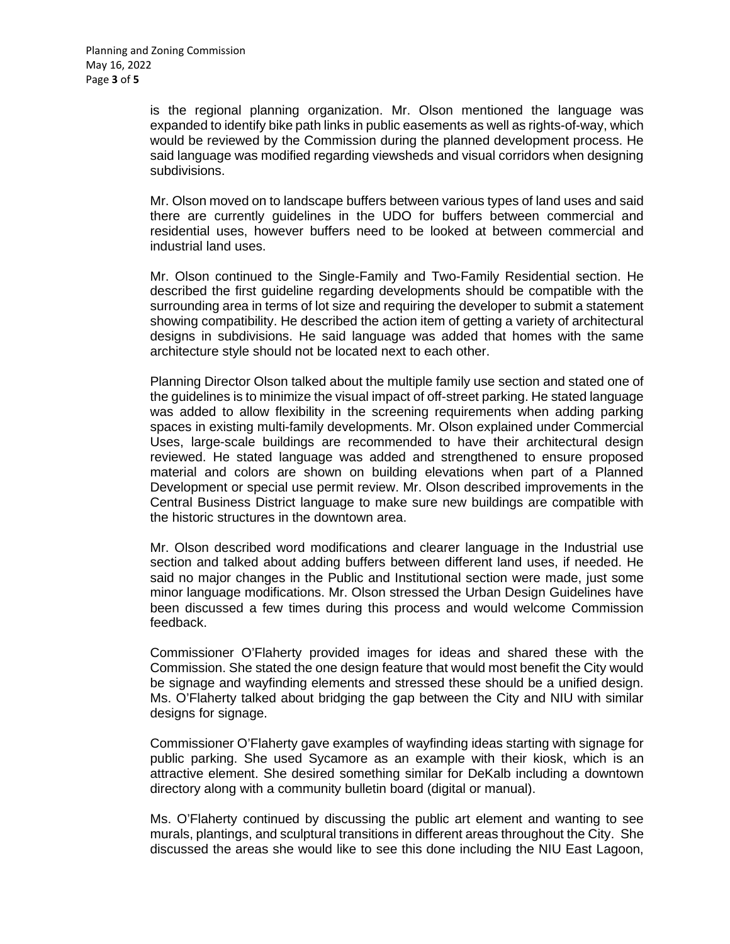is the regional planning organization. Mr. Olson mentioned the language was expanded to identify bike path links in public easements as well as rights-of-way, which would be reviewed by the Commission during the planned development process. He said language was modified regarding viewsheds and visual corridors when designing subdivisions.

Mr. Olson moved on to landscape buffers between various types of land uses and said there are currently guidelines in the UDO for buffers between commercial and residential uses, however buffers need to be looked at between commercial and industrial land uses.

Mr. Olson continued to the Single-Family and Two-Family Residential section. He described the first guideline regarding developments should be compatible with the surrounding area in terms of lot size and requiring the developer to submit a statement showing compatibility. He described the action item of getting a variety of architectural designs in subdivisions. He said language was added that homes with the same architecture style should not be located next to each other.

Planning Director Olson talked about the multiple family use section and stated one of the guidelines is to minimize the visual impact of off-street parking. He stated language was added to allow flexibility in the screening requirements when adding parking spaces in existing multi-family developments. Mr. Olson explained under Commercial Uses, large-scale buildings are recommended to have their architectural design reviewed. He stated language was added and strengthened to ensure proposed material and colors are shown on building elevations when part of a Planned Development or special use permit review. Mr. Olson described improvements in the Central Business District language to make sure new buildings are compatible with the historic structures in the downtown area.

Mr. Olson described word modifications and clearer language in the Industrial use section and talked about adding buffers between different land uses, if needed. He said no major changes in the Public and Institutional section were made, just some minor language modifications. Mr. Olson stressed the Urban Design Guidelines have been discussed a few times during this process and would welcome Commission feedback.

Commissioner O'Flaherty provided images for ideas and shared these with the Commission. She stated the one design feature that would most benefit the City would be signage and wayfinding elements and stressed these should be a unified design. Ms. O'Flaherty talked about bridging the gap between the City and NIU with similar designs for signage.

Commissioner O'Flaherty gave examples of wayfinding ideas starting with signage for public parking. She used Sycamore as an example with their kiosk, which is an attractive element. She desired something similar for DeKalb including a downtown directory along with a community bulletin board (digital or manual).

Ms. O'Flaherty continued by discussing the public art element and wanting to see murals, plantings, and sculptural transitions in different areas throughout the City. She discussed the areas she would like to see this done including the NIU East Lagoon,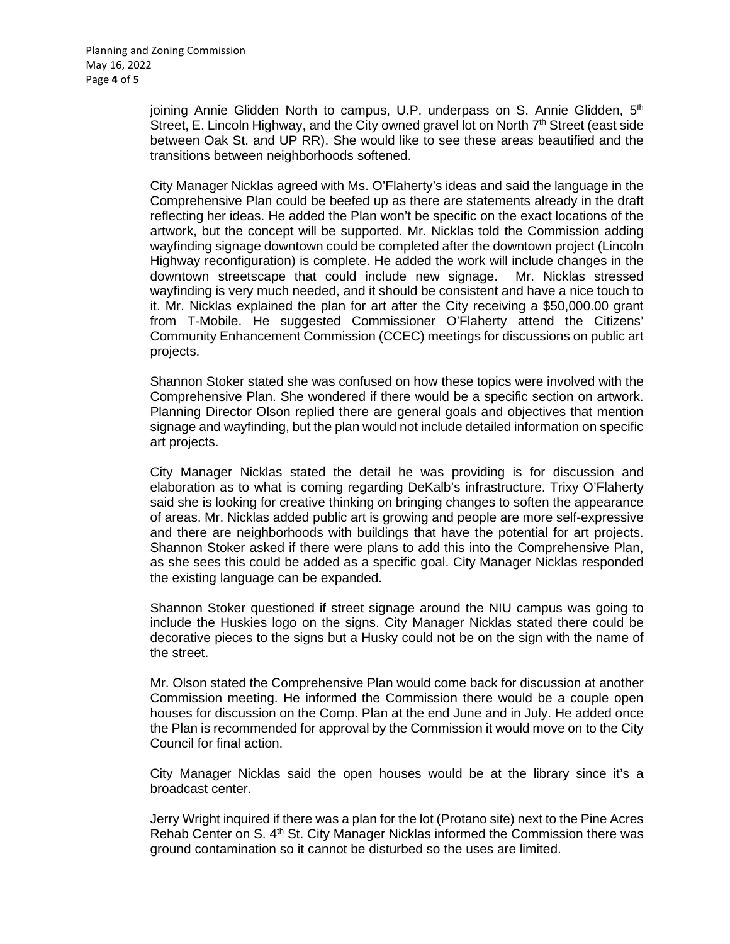joining Annie Glidden North to campus, U.P. underpass on S. Annie Glidden,  $5<sup>th</sup>$ Street, E. Lincoln Highway, and the City owned gravel lot on North  $7<sup>th</sup>$  Street (east side between Oak St. and UP RR). She would like to see these areas beautified and the transitions between neighborhoods softened.

City Manager Nicklas agreed with Ms. O'Flaherty's ideas and said the language in the Comprehensive Plan could be beefed up as there are statements already in the draft reflecting her ideas. He added the Plan won't be specific on the exact locations of the artwork, but the concept will be supported. Mr. Nicklas told the Commission adding wayfinding signage downtown could be completed after the downtown project (Lincoln Highway reconfiguration) is complete. He added the work will include changes in the downtown streetscape that could include new signage. Mr. Nicklas stressed wayfinding is very much needed, and it should be consistent and have a nice touch to it. Mr. Nicklas explained the plan for art after the City receiving a \$50,000.00 grant from T-Mobile. He suggested Commissioner O'Flaherty attend the Citizens' Community Enhancement Commission (CCEC) meetings for discussions on public art projects.

Shannon Stoker stated she was confused on how these topics were involved with the Comprehensive Plan. She wondered if there would be a specific section on artwork. Planning Director Olson replied there are general goals and objectives that mention signage and wayfinding, but the plan would not include detailed information on specific art projects.

City Manager Nicklas stated the detail he was providing is for discussion and elaboration as to what is coming regarding DeKalb's infrastructure. Trixy O'Flaherty said she is looking for creative thinking on bringing changes to soften the appearance of areas. Mr. Nicklas added public art is growing and people are more self-expressive and there are neighborhoods with buildings that have the potential for art projects. Shannon Stoker asked if there were plans to add this into the Comprehensive Plan, as she sees this could be added as a specific goal. City Manager Nicklas responded the existing language can be expanded.

Shannon Stoker questioned if street signage around the NIU campus was going to include the Huskies logo on the signs. City Manager Nicklas stated there could be decorative pieces to the signs but a Husky could not be on the sign with the name of the street.

Mr. Olson stated the Comprehensive Plan would come back for discussion at another Commission meeting. He informed the Commission there would be a couple open houses for discussion on the Comp. Plan at the end June and in July. He added once the Plan is recommended for approval by the Commission it would move on to the City Council for final action.

City Manager Nicklas said the open houses would be at the library since it's a broadcast center.

Jerry Wright inquired if there was a plan for the lot (Protano site) next to the Pine Acres Rehab Center on S. 4<sup>th</sup> St. City Manager Nicklas informed the Commission there was ground contamination so it cannot be disturbed so the uses are limited.